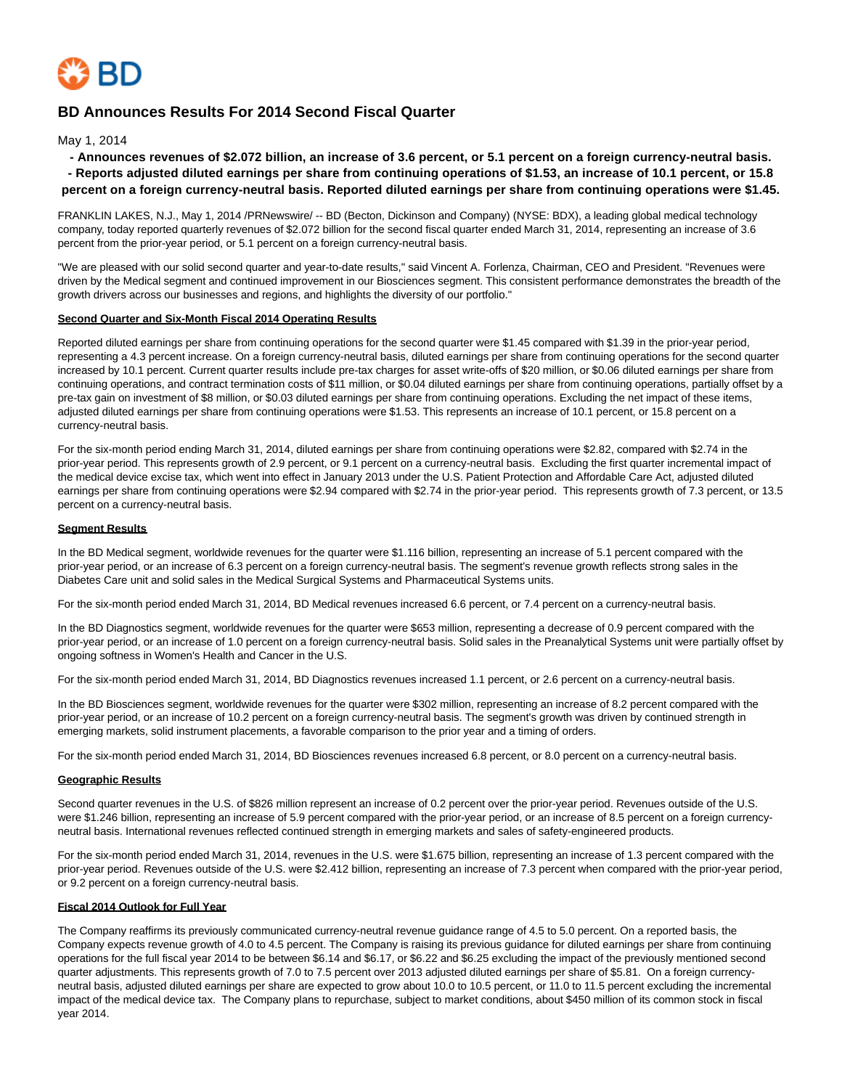

# **BD Announces Results For 2014 Second Fiscal Quarter**

## May 1, 2014

# **- Announces revenues of \$2.072 billion, an increase of 3.6 percent, or 5.1 percent on a foreign currency-neutral basis.**

**- Reports adjusted diluted earnings per share from continuing operations of \$1.53, an increase of 10.1 percent, or 15.8 percent on a foreign currency-neutral basis. Reported diluted earnings per share from continuing operations were \$1.45.**

FRANKLIN LAKES, N.J., May 1, 2014 /PRNewswire/ -- BD (Becton, Dickinson and Company) (NYSE: BDX), a leading global medical technology company, today reported quarterly revenues of \$2.072 billion for the second fiscal quarter ended March 31, 2014, representing an increase of 3.6 percent from the prior-year period, or 5.1 percent on a foreign currency-neutral basis.

"We are pleased with our solid second quarter and year-to-date results," said Vincent A. Forlenza, Chairman, CEO and President. "Revenues were driven by the Medical segment and continued improvement in our Biosciences segment. This consistent performance demonstrates the breadth of the growth drivers across our businesses and regions, and highlights the diversity of our portfolio."

### **Second Quarter and Six-Month Fiscal 2014 Operating Results**

Reported diluted earnings per share from continuing operations for the second quarter were \$1.45 compared with \$1.39 in the prior-year period, representing a 4.3 percent increase. On a foreign currency-neutral basis, diluted earnings per share from continuing operations for the second quarter increased by 10.1 percent. Current quarter results include pre-tax charges for asset write-offs of \$20 million, or \$0.06 diluted earnings per share from continuing operations, and contract termination costs of \$11 million, or \$0.04 diluted earnings per share from continuing operations, partially offset by a pre-tax gain on investment of \$8 million, or \$0.03 diluted earnings per share from continuing operations. Excluding the net impact of these items, adjusted diluted earnings per share from continuing operations were \$1.53. This represents an increase of 10.1 percent, or 15.8 percent on a currency-neutral basis.

For the six-month period ending March 31, 2014, diluted earnings per share from continuing operations were \$2.82, compared with \$2.74 in the prior-year period. This represents growth of 2.9 percent, or 9.1 percent on a currency-neutral basis. Excluding the first quarter incremental impact of the medical device excise tax, which went into effect in January 2013 under the U.S. Patient Protection and Affordable Care Act, adjusted diluted earnings per share from continuing operations were \$2.94 compared with \$2.74 in the prior-year period. This represents growth of 7.3 percent, or 13.5 percent on a currency-neutral basis.

### **Segment Results**

In the BD Medical segment, worldwide revenues for the quarter were \$1.116 billion, representing an increase of 5.1 percent compared with the prior-year period, or an increase of 6.3 percent on a foreign currency-neutral basis. The segment's revenue growth reflects strong sales in the Diabetes Care unit and solid sales in the Medical Surgical Systems and Pharmaceutical Systems units.

For the six-month period ended March 31, 2014, BD Medical revenues increased 6.6 percent, or 7.4 percent on a currency-neutral basis.

In the BD Diagnostics segment, worldwide revenues for the quarter were \$653 million, representing a decrease of 0.9 percent compared with the prior-year period, or an increase of 1.0 percent on a foreign currency-neutral basis. Solid sales in the Preanalytical Systems unit were partially offset by ongoing softness in Women's Health and Cancer in the U.S.

For the six-month period ended March 31, 2014, BD Diagnostics revenues increased 1.1 percent, or 2.6 percent on a currency-neutral basis.

In the BD Biosciences segment, worldwide revenues for the quarter were \$302 million, representing an increase of 8.2 percent compared with the prior-year period, or an increase of 10.2 percent on a foreign currency-neutral basis. The segment's growth was driven by continued strength in emerging markets, solid instrument placements, a favorable comparison to the prior year and a timing of orders.

For the six-month period ended March 31, 2014, BD Biosciences revenues increased 6.8 percent, or 8.0 percent on a currency-neutral basis.

### **Geographic Results**

Second quarter revenues in the U.S. of \$826 million represent an increase of 0.2 percent over the prior-year period. Revenues outside of the U.S. were \$1.246 billion, representing an increase of 5.9 percent compared with the prior-year period, or an increase of 8.5 percent on a foreign currencyneutral basis. International revenues reflected continued strength in emerging markets and sales of safety-engineered products.

For the six-month period ended March 31, 2014, revenues in the U.S. were \$1.675 billion, representing an increase of 1.3 percent compared with the prior-year period. Revenues outside of the U.S. were \$2.412 billion, representing an increase of 7.3 percent when compared with the prior-year period, or 9.2 percent on a foreign currency-neutral basis.

#### **Fiscal 2014 Outlook for Full Year**

The Company reaffirms its previously communicated currency-neutral revenue guidance range of 4.5 to 5.0 percent. On a reported basis, the Company expects revenue growth of 4.0 to 4.5 percent. The Company is raising its previous guidance for diluted earnings per share from continuing operations for the full fiscal year 2014 to be between \$6.14 and \$6.17, or \$6.22 and \$6.25 excluding the impact of the previously mentioned second quarter adjustments. This represents growth of 7.0 to 7.5 percent over 2013 adjusted diluted earnings per share of \$5.81. On a foreign currencyneutral basis, adjusted diluted earnings per share are expected to grow about 10.0 to 10.5 percent, or 11.0 to 11.5 percent excluding the incremental impact of the medical device tax. The Company plans to repurchase, subject to market conditions, about \$450 million of its common stock in fiscal year 2014.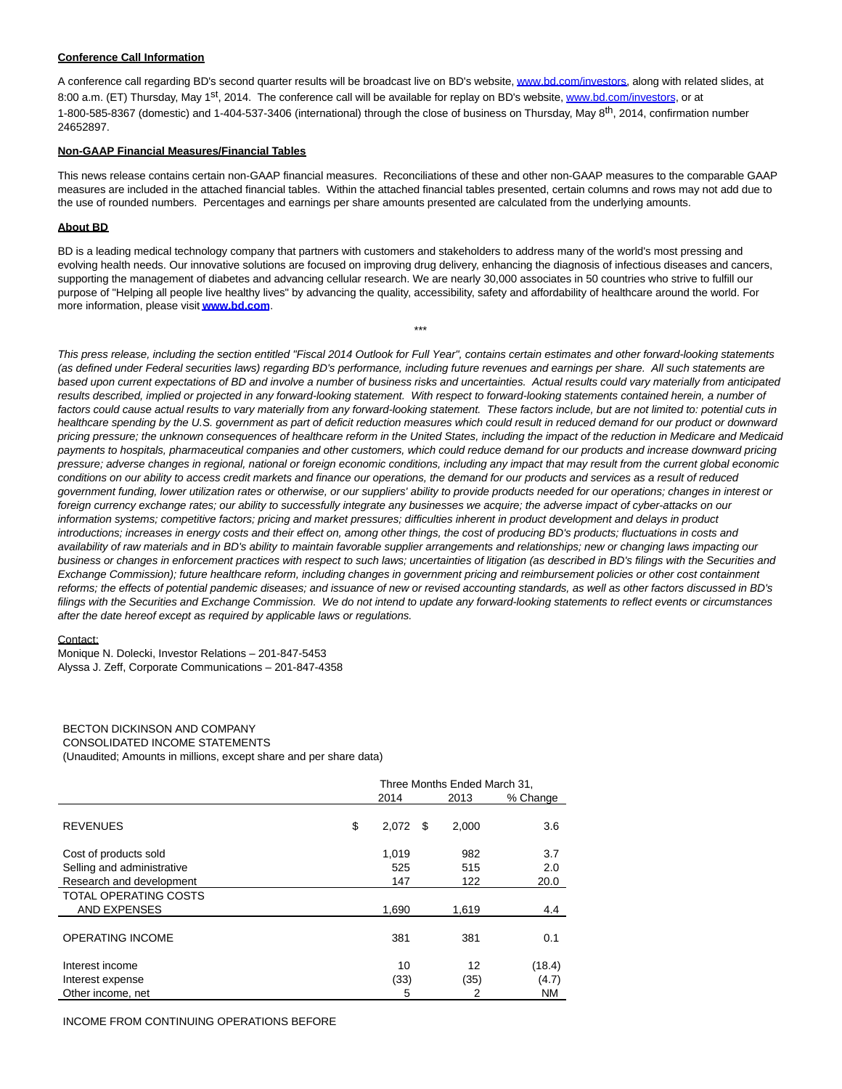### **Conference Call Information**

A conference call regarding BD's second quarter results will be broadcast live on BD's website[, www.bd.com/investors,](http://www.bd.com/investors) along with related slides, at 8:00 a.m. (ET) Thursday, May 1<sup>st</sup>, 2014. The conference call will be available for replay on BD's website, [www.bd.com/investors,](http://www.bd.com/investors) or at 1-800-585-8367 (domestic) and 1-404-537-3406 (international) through the close of business on Thursday, May 8<sup>th</sup>, 2014, confirmation number 24652897.

### **Non-GAAP Financial Measures/Financial Tables**

This news release contains certain non-GAAP financial measures. Reconciliations of these and other non-GAAP measures to the comparable GAAP measures are included in the attached financial tables. Within the attached financial tables presented, certain columns and rows may not add due to the use of rounded numbers. Percentages and earnings per share amounts presented are calculated from the underlying amounts.

#### **About BD**

BD is a leading medical technology company that partners with customers and stakeholders to address many of the world's most pressing and evolving health needs. Our innovative solutions are focused on improving drug delivery, enhancing the diagnosis of infectious diseases and cancers, supporting the management of diabetes and advancing cellular research. We are nearly 30,000 associates in 50 countries who strive to fulfill our purpose of "Helping all people live healthy lives" by advancing the quality, accessibility, safety and affordability of healthcare around the world. For more information, please visit **[www.bd.com](http://www.bd.com/)**.

\*\*\*

This press release, including the section entitled "Fiscal 2014 Outlook for Full Year", contains certain estimates and other forward-looking statements (as defined under Federal securities laws) regarding BD's performance, including future revenues and earnings per share. All such statements are based upon current expectations of BD and involve a number of business risks and uncertainties. Actual results could vary materially from anticipated results described, implied or projected in any forward-looking statement. With respect to forward-looking statements contained herein, a number of factors could cause actual results to vary materially from any forward-looking statement. These factors include, but are not limited to: potential cuts in healthcare spending by the U.S. government as part of deficit reduction measures which could result in reduced demand for our product or downward pricing pressure; the unknown consequences of healthcare reform in the United States, including the impact of the reduction in Medicare and Medicaid payments to hospitals, pharmaceutical companies and other customers, which could reduce demand for our products and increase downward pricing pressure; adverse changes in regional, national or foreign economic conditions, including any impact that may result from the current global economic conditions on our ability to access credit markets and finance our operations, the demand for our products and services as a result of reduced government funding, lower utilization rates or otherwise, or our suppliers' ability to provide products needed for our operations; changes in interest or foreign currency exchange rates; our ability to successfully integrate any businesses we acquire; the adverse impact of cyber-attacks on our information systems; competitive factors; pricing and market pressures; difficulties inherent in product development and delays in product introductions; increases in energy costs and their effect on, among other things, the cost of producing BD's products; fluctuations in costs and availability of raw materials and in BD's ability to maintain favorable supplier arrangements and relationships; new or changing laws impacting our business or changes in enforcement practices with respect to such laws; uncertainties of litigation (as described in BD's filings with the Securities and Exchange Commission); future healthcare reform, including changes in government pricing and reimbursement policies or other cost containment reforms; the effects of potential pandemic diseases; and issuance of new or revised accounting standards, as well as other factors discussed in BD's filings with the Securities and Exchange Commission. We do not intend to update any forward-looking statements to reflect events or circumstances after the date hereof except as required by applicable laws or regulations.

#### Contact:

Monique N. Dolecki, Investor Relations – 201-847-5453 Alyssa J. Zeff, Corporate Communications – 201-847-4358

### BECTON DICKINSON AND COMPANY CONSOLIDATED INCOME STATEMENTS

(Unaudited; Amounts in millions, except share and per share data)

|                            | Three Months Ended March 31, |    |       |           |  |
|----------------------------|------------------------------|----|-------|-----------|--|
|                            | 2014                         |    | 2013  | % Change  |  |
| <b>REVENUES</b>            | \$<br>2,072                  | \$ | 2,000 | 3.6       |  |
| Cost of products sold      | 1,019                        |    | 982   | 3.7       |  |
| Selling and administrative | 525                          |    | 515   | 2.0       |  |
| Research and development   | 147                          |    | 122   | 20.0      |  |
| TOTAL OPERATING COSTS      |                              |    |       |           |  |
| AND EXPENSES               | 1,690                        |    | 1,619 | 4.4       |  |
| <b>OPERATING INCOME</b>    | 381                          |    | 381   | 0.1       |  |
| Interest income            | 10                           |    | 12    | (18.4)    |  |
| Interest expense           | (33)                         |    | (35)  | (4.7)     |  |
| Other income, net          | 5                            |    | 2     | <b>NM</b> |  |

INCOME FROM CONTINUING OPERATIONS BEFORE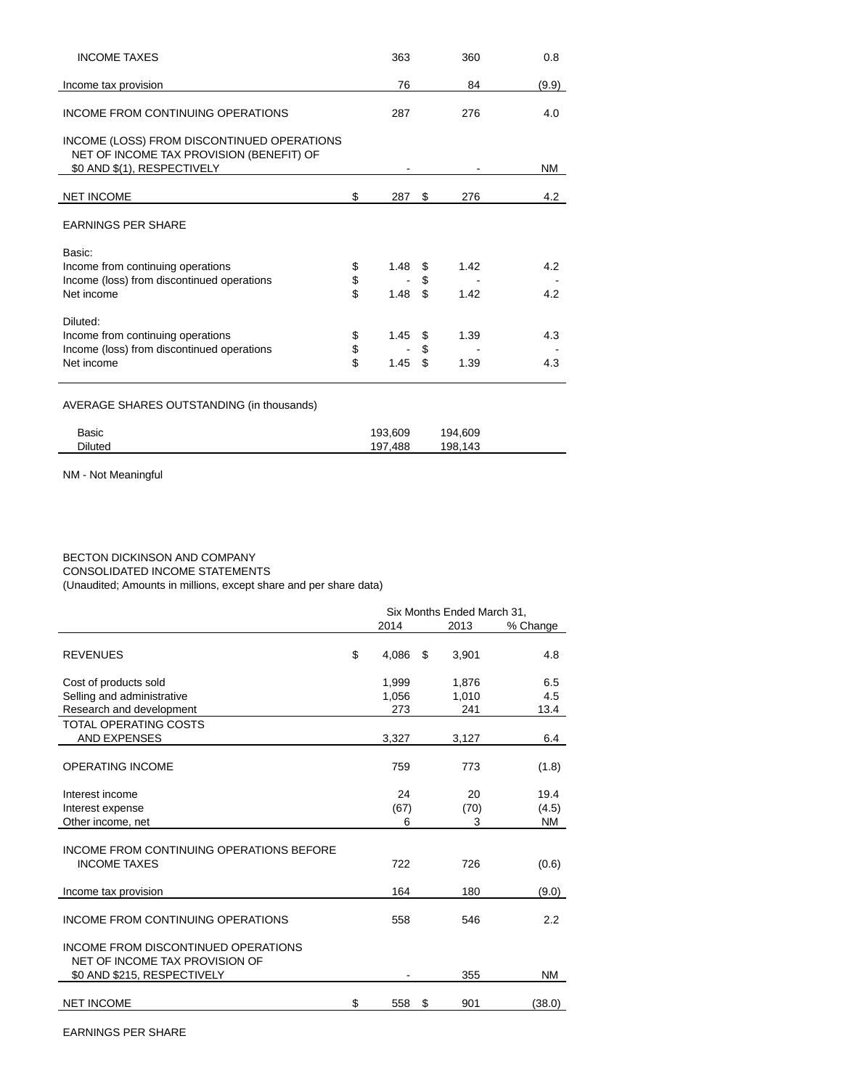| <b>INCOME TAXES</b>                                                                                                   |          | 363  | 360        | 0.8   |
|-----------------------------------------------------------------------------------------------------------------------|----------|------|------------|-------|
| Income tax provision                                                                                                  |          | 76   | 84         | (9.9) |
| INCOME FROM CONTINUING OPERATIONS                                                                                     |          | 287  | 276        | 4.0   |
| INCOME (LOSS) FROM DISCONTINUED OPERATIONS<br>NET OF INCOME TAX PROVISION (BENEFIT) OF<br>\$0 AND \$(1), RESPECTIVELY |          |      |            | ΝM    |
|                                                                                                                       |          |      |            |       |
| <b>NET INCOME</b>                                                                                                     | \$       | 287  | \$<br>276  | 4.2   |
| <b>EARNINGS PER SHARE</b>                                                                                             |          |      |            |       |
| Basic:                                                                                                                |          |      |            |       |
| Income from continuing operations                                                                                     | \$       | 1.48 | \$<br>1.42 | 4.2   |
| Income (loss) from discontinued operations                                                                            | \$       |      | \$         |       |
| Net income                                                                                                            | \$       | 1.48 | \$<br>1.42 | 4.2   |
| Diluted:                                                                                                              |          |      |            |       |
| Income from continuing operations                                                                                     | \$       | 1.45 | \$<br>1.39 | 4.3   |
| Income (loss) from discontinued operations                                                                            |          |      | \$         |       |
| Net income                                                                                                            | \$<br>\$ | 1.45 | \$<br>1.39 | 4.3   |
|                                                                                                                       |          |      |            |       |

# AVERAGE SHARES OUTSTANDING (in thousands)

| Basic          | 193.609    | 194,609 |  |
|----------------|------------|---------|--|
| <b>Diluted</b> | 488<br>19. | 198.143 |  |

NM - Not Meaningful

# BECTON DICKINSON AND COMPANY

CONSOLIDATED INCOME STATEMENTS

(Unaudited; Amounts in millions, except share and per share data)

|                                                                       |    | Six Months Ended March 31, |             |           |
|-----------------------------------------------------------------------|----|----------------------------|-------------|-----------|
|                                                                       |    | 2014                       | 2013        | % Change  |
| <b>REVENUES</b>                                                       | \$ | 4,086                      | \$<br>3,901 | 4.8       |
| Cost of products sold                                                 |    | 1,999                      | 1,876       | 6.5       |
| Selling and administrative                                            |    | 1,056                      | 1,010       | 4.5       |
| Research and development                                              |    | 273                        | 241         | 13.4      |
| TOTAL OPERATING COSTS                                                 |    |                            |             |           |
| AND EXPENSES                                                          |    | 3,327                      | 3,127       | 6.4       |
| <b>OPERATING INCOME</b>                                               |    | 759                        | 773         | (1.8)     |
| Interest income                                                       |    | 24                         | 20          | 19.4      |
| Interest expense                                                      |    | (67)                       | (70)        | (4.5)     |
| Other income, net                                                     |    | 6                          | 3           | <b>NM</b> |
| INCOME FROM CONTINUING OPERATIONS BEFORE                              |    |                            |             |           |
| <b>INCOME TAXES</b>                                                   |    | 722                        | 726         | (0.6)     |
| Income tax provision                                                  |    | 164                        | 180         | (9.0)     |
| INCOME FROM CONTINUING OPERATIONS                                     |    | 558                        | 546         | 2.2       |
| INCOME FROM DISCONTINUED OPERATIONS<br>NET OF INCOME TAX PROVISION OF |    |                            |             |           |
| \$0 AND \$215, RESPECTIVELY                                           |    |                            | 355         | <b>NM</b> |
| <b>NET INCOME</b>                                                     | \$ | 558                        | \$<br>901   | (38.0)    |

EARNINGS PER SHARE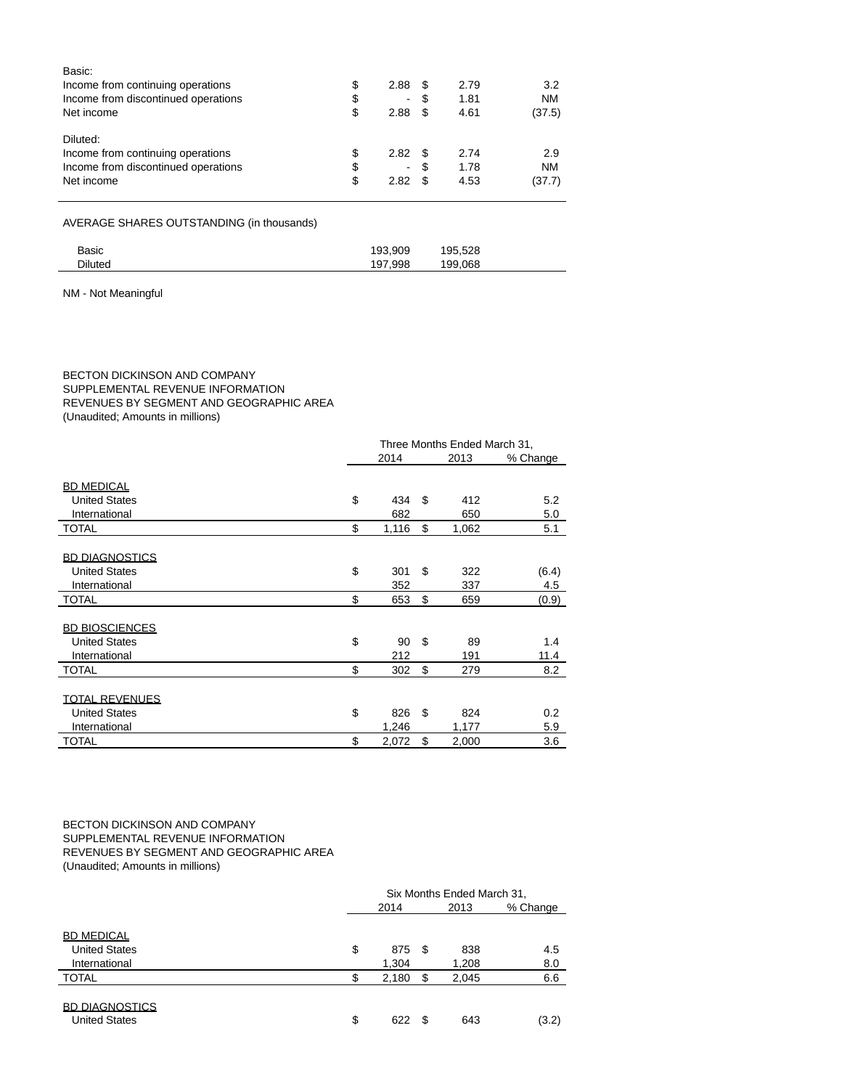| Basic:                              |                      |      |      |           |
|-------------------------------------|----------------------|------|------|-----------|
| Income from continuing operations   | \$<br>2.88           | \$   | 2.79 | 3.2       |
| Income from discontinued operations | \$<br>$\sim$         | \$.  | 1.81 | <b>NM</b> |
| Net income                          | \$<br>2.88           | \$   | 4.61 | (37.5)    |
| Diluted:                            |                      |      |      |           |
| Income from continuing operations   | \$<br>2.82           | - \$ | 2.74 | 2.9       |
| Income from discontinued operations | \$<br>$\blacksquare$ | \$.  | 1.78 | <b>NM</b> |
| Net income                          | \$<br>2.82           | \$.  | 4.53 | (37.7)    |

AVERAGE SHARES OUTSTANDING (in thousands)

| Basic   | .909<br>193 | 95.528        |  |
|---------|-------------|---------------|--|
| Diluted | 998<br>1 Q  | .068<br>1 Q Q |  |

NM - Not Meaningful

# BECTON DICKINSON AND COMPANY SUPPLEMENTAL REVENUE INFORMATION REVENUES BY SEGMENT AND GEOGRAPHIC AREA (Unaudited; Amounts in millions)

|                       | Three Months Ended March 31, |    |       |          |  |  |
|-----------------------|------------------------------|----|-------|----------|--|--|
|                       | 2014                         |    | 2013  | % Change |  |  |
| <b>BD MEDICAL</b>     |                              |    |       |          |  |  |
| <b>United States</b>  | \$<br>434                    | \$ | 412   | 5.2      |  |  |
| International         | 682                          |    | 650   | 5.0      |  |  |
| <b>TOTAL</b>          | \$<br>1,116                  | \$ | 1,062 | 5.1      |  |  |
|                       |                              |    |       |          |  |  |
| <b>BD DIAGNOSTICS</b> |                              |    |       |          |  |  |
| <b>United States</b>  | \$<br>301                    | \$ | 322   | (6.4)    |  |  |
| International         | 352                          |    | 337   | 4.5      |  |  |
| <b>TOTAL</b>          | \$<br>653                    | \$ | 659   | (0.9)    |  |  |
| <b>BD BIOSCIENCES</b> |                              |    |       |          |  |  |
| <b>United States</b>  | \$<br>90                     | \$ | 89    | 1.4      |  |  |
| International         | 212                          |    | 191   | 11.4     |  |  |
| <b>TOTAL</b>          | \$<br>302                    | \$ | 279   | 8.2      |  |  |
|                       |                              |    |       |          |  |  |
| <b>TOTAL REVENUES</b> |                              |    |       |          |  |  |
| <b>United States</b>  | \$<br>826                    | \$ | 824   | 0.2      |  |  |
| International         | 1,246                        |    | 1,177 | 5.9      |  |  |
| <b>TOTAL</b>          | \$<br>2,072                  | \$ | 2,000 | 3.6      |  |  |

## BECTON DICKINSON AND COMPANY SUPPLEMENTAL REVENUE INFORMATION REVENUES BY SEGMENT AND GEOGRAPHIC AREA (Unaudited; Amounts in millions)

|                       | Six Months Ended March 31, |    |       |          |  |  |
|-----------------------|----------------------------|----|-------|----------|--|--|
|                       | 2014                       |    | 2013  | % Change |  |  |
| <b>BD MEDICAL</b>     |                            |    |       |          |  |  |
| <b>United States</b>  | \$<br>875                  | \$ | 838   | 4.5      |  |  |
| International         | 1,304                      |    | 1,208 | 8.0      |  |  |
| <b>TOTAL</b>          | 2,180                      | S  | 2,045 | 6.6      |  |  |
|                       |                            |    |       |          |  |  |
| <b>BD DIAGNOSTICS</b> |                            |    |       |          |  |  |
| <b>United States</b>  | \$<br>622                  | S  | 643   | (3.2)    |  |  |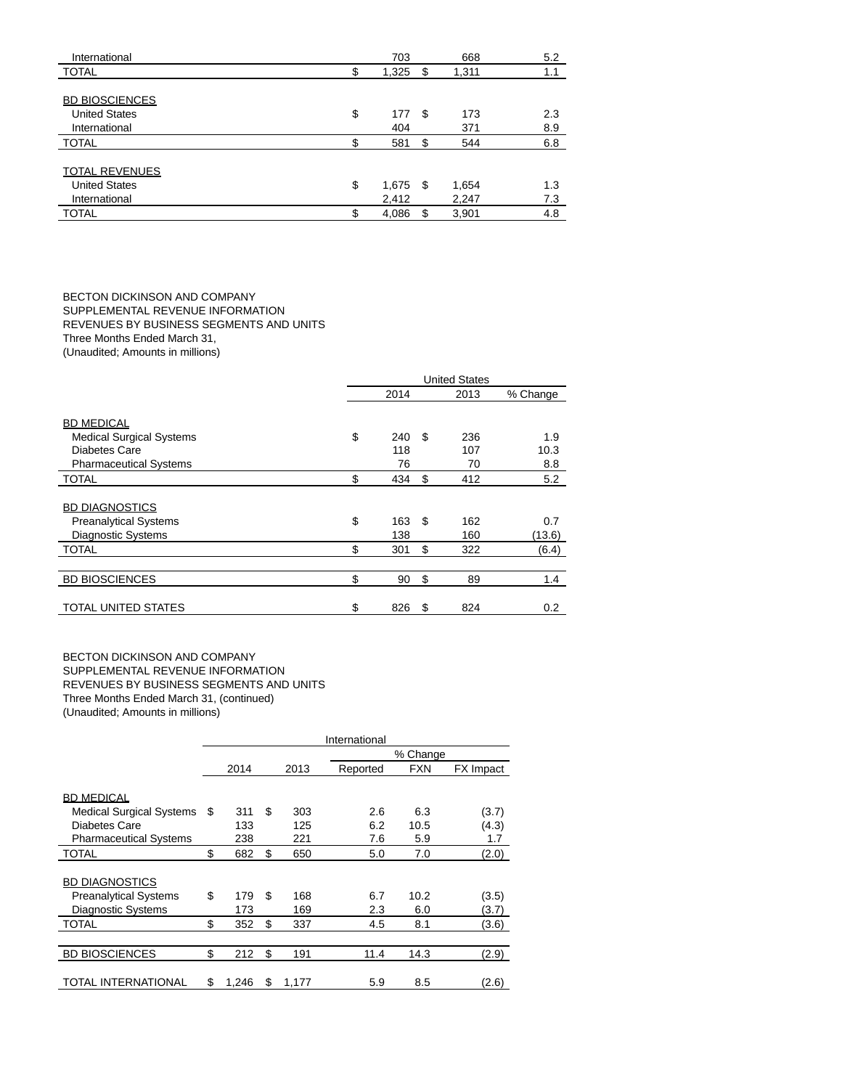| International         | 703         |      | 668   | 5.2 |
|-----------------------|-------------|------|-------|-----|
| <b>TOTAL</b>          | \$<br>1,325 | \$   | 1,311 | 1.1 |
|                       |             |      |       |     |
| <b>BD BIOSCIENCES</b> |             |      |       |     |
| <b>United States</b>  | \$<br>177   | \$   | 173   | 2.3 |
| International         | 404         |      | 371   | 8.9 |
| <b>TOTAL</b>          | \$<br>581   | \$   | 544   | 6.8 |
|                       |             |      |       |     |
| <b>TOTAL REVENUES</b> |             |      |       |     |
| <b>United States</b>  | \$<br>1,675 | - \$ | 1,654 | 1.3 |
| International         | 2,412       |      | 2,247 | 7.3 |
| <b>TOTAL</b>          | 4,086       | \$   | 3,901 | 4.8 |

### BECTON DICKINSON AND COMPANY SUPPLEMENTAL REVENUE INFORMATION REVENUES BY BUSINESS SEGMENTS AND UNITS Three Months Ended March 31, (Unaudited; Amounts in millions)

|                                                       | <b>United States</b> |    |      |          |  |
|-------------------------------------------------------|----------------------|----|------|----------|--|
|                                                       | 2014                 |    | 2013 | % Change |  |
| <b>BD MEDICAL</b><br><b>Medical Surgical Systems</b>  | \$<br>240            | \$ | 236  | 1.9      |  |
| Diabetes Care                                         | 118                  |    | 107  | 10.3     |  |
| <b>Pharmaceutical Systems</b>                         | 76                   |    | 70   | 8.8      |  |
| <b>TOTAL</b>                                          | \$<br>434            | \$ | 412  | 5.2      |  |
| <b>BD DIAGNOSTICS</b><br><b>Preanalytical Systems</b> | \$<br>163            | \$ | 162  | 0.7      |  |
| <b>Diagnostic Systems</b>                             | 138                  |    | 160  | (13.6)   |  |
| <b>TOTAL</b>                                          | \$<br>301            | \$ | 322  | (6.4)    |  |
| <b>BD BIOSCIENCES</b>                                 | \$<br>90             | \$ | 89   | 1.4      |  |
| TOTAL UNITED STATES                                   | \$<br>826            | \$ | 824  | 0.2      |  |

### BECTON DICKINSON AND COMPANY SUPPLEMENTAL REVENUE INFORMATION REVENUES BY BUSINESS SEGMENTS AND UNITS Three Months Ended March 31, (continued) (Unaudited; Amounts in millions)

|                                 | International |          |    |       |          |            |           |  |  |
|---------------------------------|---------------|----------|----|-------|----------|------------|-----------|--|--|
|                                 |               | % Change |    |       |          |            |           |  |  |
|                                 |               | 2014     |    | 2013  | Reported | <b>FXN</b> | FX Impact |  |  |
|                                 |               |          |    |       |          |            |           |  |  |
| <b>BD MEDICAL</b>               |               |          |    |       |          |            |           |  |  |
| <b>Medical Surgical Systems</b> | S             | 311      | \$ | 303   | 2.6      | 6.3        | (3.7)     |  |  |
| Diabetes Care                   |               | 133      |    | 125   | 6.2      | 10.5       | (4.3)     |  |  |
| <b>Pharmaceutical Systems</b>   |               | 238      |    | 221   | 7.6      | 5.9        | 1.7       |  |  |
| TOTAL                           | \$            | 682      | \$ | 650   | 5.0      | 7.0        | (2.0)     |  |  |
|                                 |               |          |    |       |          |            |           |  |  |
| <b>BD DIAGNOSTICS</b>           |               |          |    |       |          |            |           |  |  |
| <b>Preanalytical Systems</b>    | \$            | 179      | \$ | 168   | 6.7      | 10.2       | (3.5)     |  |  |
| <b>Diagnostic Systems</b>       |               | 173      |    | 169   | 2.3      | 6.0        | (3.7)     |  |  |
| TOTAL                           | \$            | 352      | \$ | 337   | 4.5      | 8.1        | (3.6)     |  |  |
|                                 |               |          |    |       |          |            |           |  |  |
| <b>BD BIOSCIENCES</b>           | \$            | 212      | \$ | 191   | 11.4     | 14.3       | (2.9)     |  |  |
|                                 |               |          |    |       |          |            |           |  |  |
| TOTAL INTERNATIONAL             | S             | 1.246    | S  | 1.177 | 5.9      | 8.5        | (2.6)     |  |  |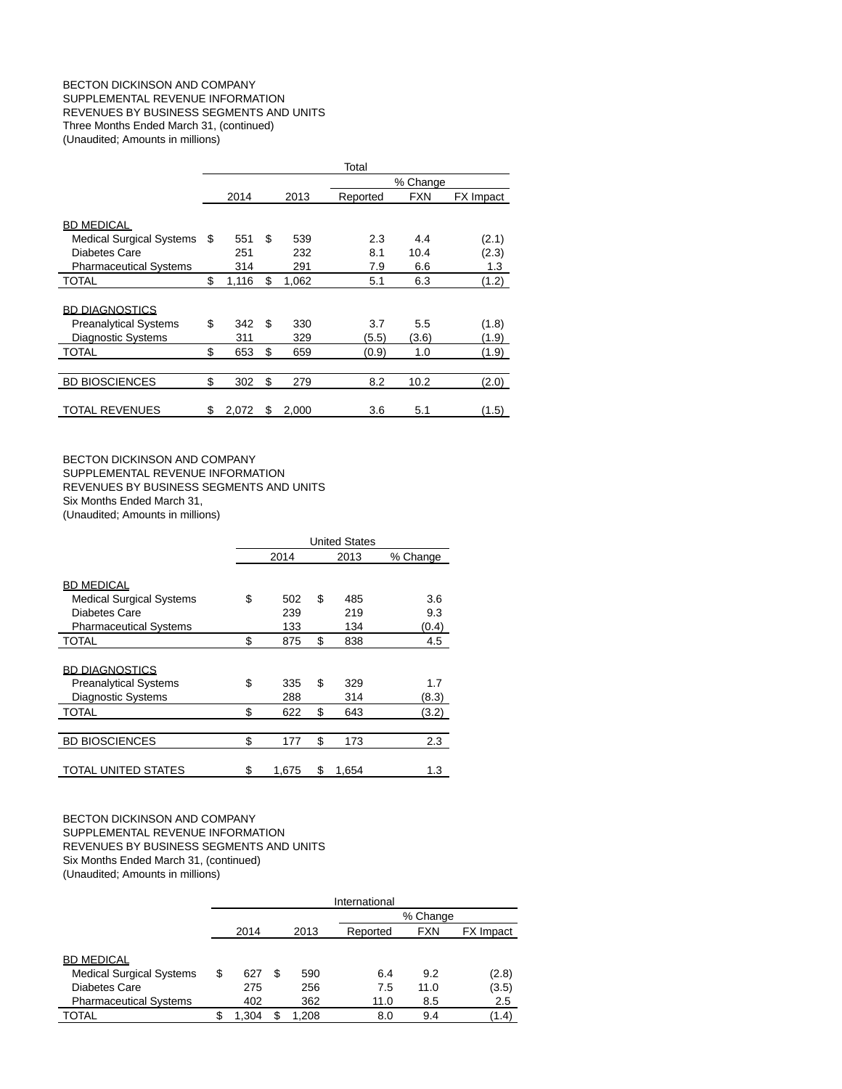### BECTON DICKINSON AND COMPANY SUPPLEMENTAL REVENUE INFORMATION REVENUES BY BUSINESS SEGMENTS AND UNITS Three Months Ended March 31, (continued) (Unaudited; Amounts in millions)

|                                 | Total |       |          |       |          |            |                  |  |
|---------------------------------|-------|-------|----------|-------|----------|------------|------------------|--|
|                                 |       |       | % Change |       |          |            |                  |  |
|                                 |       | 2014  |          | 2013  | Reported | <b>FXN</b> | <b>FX</b> Impact |  |
|                                 |       |       |          |       |          |            |                  |  |
| <b>BD MEDICAL</b>               |       |       |          |       |          |            |                  |  |
| <b>Medical Surgical Systems</b> | S     | 551   | \$       | 539   | 2.3      | 4.4        | (2.1)            |  |
| Diabetes Care                   |       | 251   |          | 232   | 8.1      | 10.4       | (2.3)            |  |
| <b>Pharmaceutical Systems</b>   |       | 314   |          | 291   | 7.9      | 6.6        | 1.3              |  |
| TOTAL                           | \$    | 1,116 | \$       | 1,062 | 5.1      | 6.3        | (1.2)            |  |
|                                 |       |       |          |       |          |            |                  |  |
| <b>BD DIAGNOSTICS</b>           |       |       |          |       |          |            |                  |  |
| <b>Preanalytical Systems</b>    | \$    | 342   | \$       | 330   | 3.7      | 5.5        | (1.8)            |  |
| <b>Diagnostic Systems</b>       |       | 311   |          | 329   | (5.5)    | (3.6)      | (1.9)            |  |
| TOTAL                           | \$    | 653   | \$       | 659   | (0.9)    | 1.0        | (1.9)            |  |
|                                 |       |       |          |       |          |            |                  |  |
| <b>BD BIOSCIENCES</b>           | \$    | 302   | \$       | 279   | 8.2      | 10.2       | (2.0)            |  |
|                                 |       |       |          |       |          |            |                  |  |
| <b>TOTAL REVENUES</b>           | \$    | 2,072 | S        | 2,000 | 3.6      | 5.1        | (1.5)            |  |

BECTON DICKINSON AND COMPANY SUPPLEMENTAL REVENUE INFORMATION REVENUES BY BUSINESS SEGMENTS AND UNITS Six Months Ended March 31, (Unaudited; Amounts in millions)

|                                 |             |    | <b>United States</b> |          |
|---------------------------------|-------------|----|----------------------|----------|
|                                 | 2014        |    | 2013                 | % Change |
|                                 |             |    |                      |          |
| <b>BD MEDICAL</b>               |             |    |                      |          |
| <b>Medical Surgical Systems</b> | \$<br>502   | \$ | 485                  | 3.6      |
| Diabetes Care                   | 239         |    | 219                  | 9.3      |
| <b>Pharmaceutical Systems</b>   | 133         |    | 134                  | (0.4)    |
| <b>TOTAL</b>                    | \$<br>875   | \$ | 838                  | 4.5      |
|                                 |             |    |                      |          |
| <b>BD DIAGNOSTICS</b>           |             |    |                      |          |
| <b>Preanalytical Systems</b>    | \$<br>335   | \$ | 329                  | 1.7      |
| <b>Diagnostic Systems</b>       | 288         |    | 314                  | (8.3)    |
| <b>TOTAL</b>                    | \$<br>622   | \$ | 643                  | (3.2)    |
|                                 |             |    |                      |          |
| <b>BD BIOSCIENCES</b>           | \$<br>177   | \$ | 173                  | 2.3      |
|                                 |             |    |                      |          |
| TOTAL UNITED STATES             | \$<br>1.675 | S  | 1,654                | 1.3      |

## BECTON DICKINSON AND COMPANY SUPPLEMENTAL REVENUE INFORMATION REVENUES BY BUSINESS SEGMENTS AND UNITS Six Months Ended March 31, (continued) (Unaudited; Amounts in millions)

|                                 | International |       |   |       |          |            |                  |  |  |  |  |  |
|---------------------------------|---------------|-------|---|-------|----------|------------|------------------|--|--|--|--|--|
|                                 | % Change      |       |   |       |          |            |                  |  |  |  |  |  |
|                                 |               | 2014  |   | 2013  | Reported | <b>FXN</b> | <b>FX</b> Impact |  |  |  |  |  |
|                                 |               |       |   |       |          |            |                  |  |  |  |  |  |
| <b>BD MEDICAL</b>               |               |       |   |       |          |            |                  |  |  |  |  |  |
| <b>Medical Surgical Systems</b> | \$            | 627   | S | 590   | 6.4      | 9.2        | (2.8)            |  |  |  |  |  |
| Diabetes Care                   |               | 275   |   | 256   | 7.5      | 11.0       | (3.5)            |  |  |  |  |  |
| <b>Pharmaceutical Systems</b>   |               | 402   |   | 362   | 11.0     | 8.5        | 2.5              |  |  |  |  |  |
| TOTAL                           | \$.           | 1.304 |   | 1.208 | 8.0      | 9.4        | (1.4)            |  |  |  |  |  |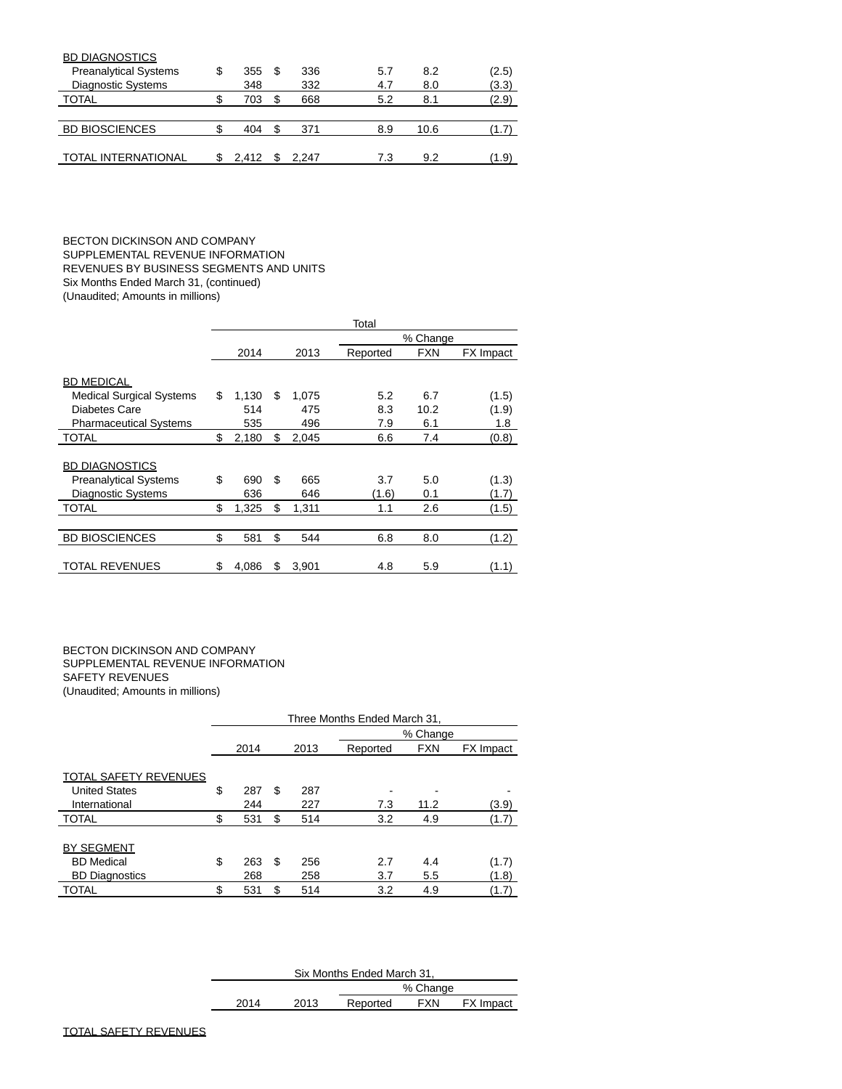| <b>BD DIAGNOSTICS</b>        |           |    |       |     |      |       |
|------------------------------|-----------|----|-------|-----|------|-------|
| <b>Preanalytical Systems</b> | \$<br>355 | S  | 336   | 5.7 | 8.2  | (2.5) |
| <b>Diagnostic Systems</b>    | 348       |    | 332   | 4.7 | 8.0  | (3.3) |
| <b>TOTAL</b>                 | 703       | S  | 668   | 5.2 | 8.1  | (2.9) |
|                              |           |    |       |     |      |       |
| <b>BD BIOSCIENCES</b>        | 404       | ß. | 371   | 8.9 | 10.6 | (1.7) |
|                              |           |    |       |     |      |       |
| <b>TOTAL INTERNATIONAL</b>   | 2.412     |    | 2.247 | 7.3 | 9.2  | (1.9) |

BECTON DICKINSON AND COMPANY SUPPLEMENTAL REVENUE INFORMATION REVENUES BY BUSINESS SEGMENTS AND UNITS Six Months Ended March 31, (continued) (Unaudited; Amounts in millions)

|                                 |             |    |       | Total    |            |           |
|---------------------------------|-------------|----|-------|----------|------------|-----------|
|                                 |             |    |       |          | % Change   |           |
|                                 | 2014        |    | 2013  | Reported | <b>FXN</b> | FX Impact |
|                                 |             |    |       |          |            |           |
| <b>BD MEDICAL</b>               |             |    |       |          |            |           |
| <b>Medical Surgical Systems</b> | \$<br>1,130 | \$ | 1,075 | 5.2      | 6.7        | (1.5)     |
| Diabetes Care                   | 514         |    | 475   | 8.3      | 10.2       | (1.9)     |
| <b>Pharmaceutical Systems</b>   | 535         |    | 496   | 7.9      | 6.1        | 1.8       |
| <b>TOTAL</b>                    | \$<br>2,180 | \$ | 2,045 | 6.6      | 7.4        | (0.8)     |
|                                 |             |    |       |          |            |           |
| <b>BD DIAGNOSTICS</b>           |             |    |       |          |            |           |
| <b>Preanalytical Systems</b>    | \$<br>690   | \$ | 665   | 3.7      | 5.0        | (1.3)     |
| <b>Diagnostic Systems</b>       | 636         |    | 646   | (1.6)    | 0.1        | (1.7)     |
| TOTAL                           | \$<br>1,325 | \$ | 1,311 | 1.1      | 2.6        | (1.5)     |
|                                 |             |    |       |          |            |           |
| <b>BD BIOSCIENCES</b>           | \$<br>581   | \$ | 544   | 6.8      | 8.0        | (1.2)     |
|                                 |             |    |       |          |            |           |
| TOTAL REVENUES                  | \$<br>4,086 | S  | 3.901 | 4.8      | 5.9        | (1.1)     |

## BECTON DICKINSON AND COMPANY SUPPLEMENTAL REVENUE INFORMATION SAFETY REVENUES (Unaudited; Amounts in millions)

|                              | Three Months Ended March 31, |      |   |      |          |            |           |  |
|------------------------------|------------------------------|------|---|------|----------|------------|-----------|--|
|                              |                              |      |   |      |          | % Change   |           |  |
|                              |                              | 2014 |   | 2013 | Reported | <b>FXN</b> | FX Impact |  |
|                              |                              |      |   |      |          |            |           |  |
| <b>TOTAL SAFETY REVENUES</b> |                              |      |   |      |          |            |           |  |
| <b>United States</b>         | \$                           | 287  | S | 287  |          |            |           |  |
| International                |                              | 244  |   | 227  | 7.3      | 11.2       | (3.9)     |  |
| <b>TOTAL</b>                 | \$                           | 531  | S | 514  | 3.2      | 4.9        | (1.7)     |  |
|                              |                              |      |   |      |          |            |           |  |
| <b>BY SEGMENT</b>            |                              |      |   |      |          |            |           |  |
| <b>BD</b> Medical            | \$                           | 263  | S | 256  | 2.7      | 4.4        | (1.7)     |  |
| <b>BD Diagnostics</b>        |                              | 268  |   | 258  | 3.7      | 5.5        | (1.8)     |  |
| <b>TOTAL</b>                 | \$                           | 531  | S | 514  | 3.2      | 4.9        | (1.7)     |  |

|          | Six Months Ended March 31, |          |            |                  |  |  |  |  |  |  |
|----------|----------------------------|----------|------------|------------------|--|--|--|--|--|--|
| % Change |                            |          |            |                  |  |  |  |  |  |  |
| 2014     | 2013                       | Reported | <b>FXN</b> | <b>FX</b> Impact |  |  |  |  |  |  |
|          |                            |          |            |                  |  |  |  |  |  |  |

TOTAL SAFETY REVENUES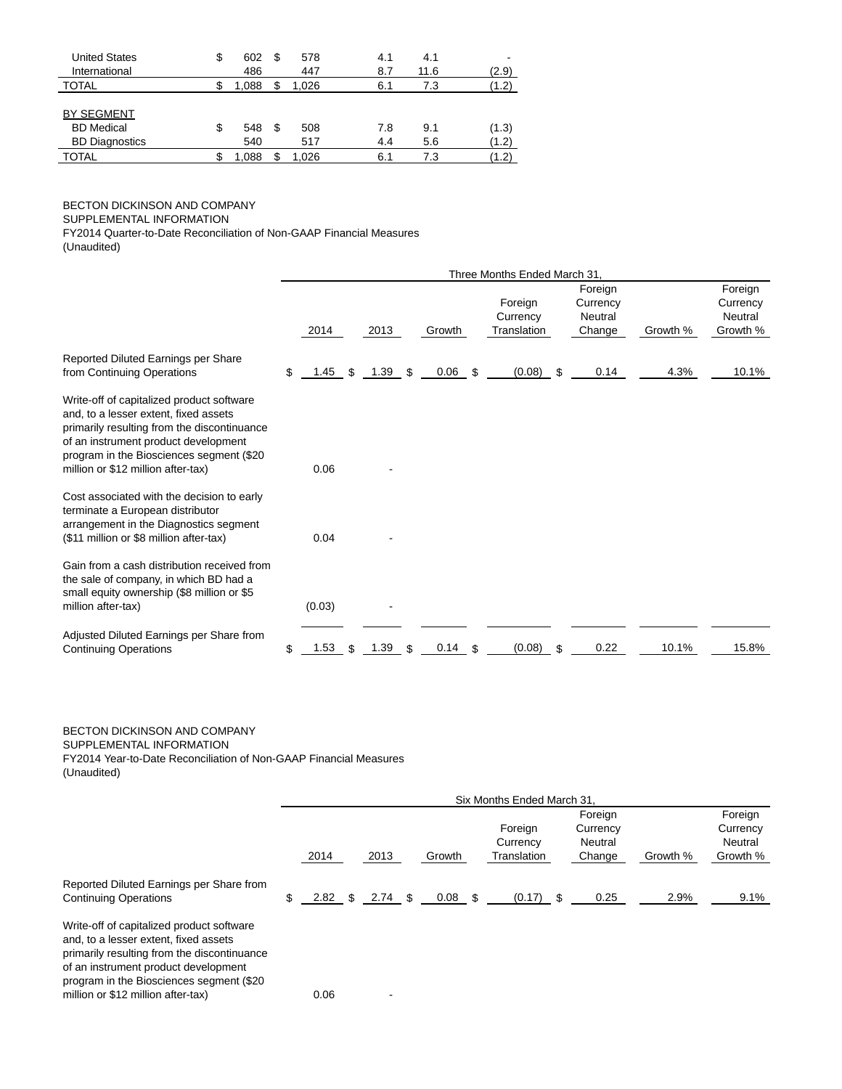| <b>United States</b><br>International                           | \$<br>602<br>486 | \$<br>578<br>447 | 4.1<br>8.7 | 4.1<br>11.6 | (2.9)          |
|-----------------------------------------------------------------|------------------|------------------|------------|-------------|----------------|
| <b>TOTAL</b>                                                    | 1.088            | 1,026            | 6.1        | 7.3         | (1.2)          |
| <b>BY SEGMENT</b><br><b>BD</b> Medical<br><b>BD Diagnostics</b> | \$<br>548<br>540 | 508<br>517       | 7.8<br>4.4 | 9.1<br>5.6  | (1.3)<br>(1.2) |
| TOTAL                                                           | 1.088            | 1.026            | 6.1        | 7.3         | (1.2)          |

# BECTON DICKINSON AND COMPANY

SUPPLEMENTAL INFORMATION

FY2014 Quarter-to-Date Reconciliation of Non-GAAP Financial Measures

(Unaudited)

|                                                                                                                                                                                                                                                             |            |     |      |      |        |      | Three Months Ended March 31.       |                                          |          |                                            |
|-------------------------------------------------------------------------------------------------------------------------------------------------------------------------------------------------------------------------------------------------------------|------------|-----|------|------|--------|------|------------------------------------|------------------------------------------|----------|--------------------------------------------|
|                                                                                                                                                                                                                                                             | 2014       |     | 2013 |      | Growth |      | Foreign<br>Currency<br>Translation | Foreign<br>Currency<br>Neutral<br>Change | Growth % | Foreign<br>Currency<br>Neutral<br>Growth % |
| Reported Diluted Earnings per Share<br>from Continuing Operations                                                                                                                                                                                           | \$<br>1.45 | \$. | 1.39 | - \$ | 0.06   | - \$ | (0.08)                             | \$<br>0.14                               | 4.3%     | 10.1%                                      |
| Write-off of capitalized product software<br>and, to a lesser extent, fixed assets<br>primarily resulting from the discontinuance<br>of an instrument product development<br>program in the Biosciences segment (\$20<br>million or \$12 million after-tax) | 0.06       |     |      |      |        |      |                                    |                                          |          |                                            |
| Cost associated with the decision to early<br>terminate a European distributor<br>arrangement in the Diagnostics segment<br>(\$11 million or \$8 million after-tax)                                                                                         | 0.04       |     |      |      |        |      |                                    |                                          |          |                                            |
| Gain from a cash distribution received from<br>the sale of company, in which BD had a<br>small equity ownership (\$8 million or \$5<br>million after-tax)                                                                                                   | (0.03)     |     |      |      |        |      |                                    |                                          |          |                                            |
| Adjusted Diluted Earnings per Share from<br><b>Continuing Operations</b>                                                                                                                                                                                    | \$<br>1.53 | £.  | 1.39 | - \$ | 0.14   | -S   | (0.08)                             | \$<br>0.22                               | 10.1%    | 15.8%                                      |

# BECTON DICKINSON AND COMPANY

SUPPLEMENTAL INFORMATION

FY2014 Year-to-Date Reconciliation of Non-GAAP Financial Measures (Unaudited)

|                                                                                                                                                                                                                                                              |            |                 |        |              | Six Months Ended March 31. |          |          |          |
|--------------------------------------------------------------------------------------------------------------------------------------------------------------------------------------------------------------------------------------------------------------|------------|-----------------|--------|--------------|----------------------------|----------|----------|----------|
|                                                                                                                                                                                                                                                              |            |                 |        |              |                            | Foreign  |          | Foreign  |
|                                                                                                                                                                                                                                                              |            |                 |        |              | Foreign                    | Currency |          | Currency |
|                                                                                                                                                                                                                                                              |            |                 |        |              | Currency                   | Neutral  |          | Neutral  |
|                                                                                                                                                                                                                                                              | 2014       | 2013            | Growth |              | Translation                | Change   | Growth % | Growth % |
| Reported Diluted Earnings per Share from<br><b>Continuing Operations</b>                                                                                                                                                                                     | \$<br>2.82 | \$<br>$2.74$ \$ | 0.08   | $\mathbb{S}$ | $(0.17)$ \$                | 0.25     | 2.9%     | $9.1\%$  |
| Write-off of capitalized product software<br>and, to a lesser extent, fixed assets<br>primarily resulting from the discontinuance<br>of an instrument product development<br>program in the Biosciences segment (\$20)<br>million or \$12 million after-tax) | 0.06       |                 |        |              |                            |          |          |          |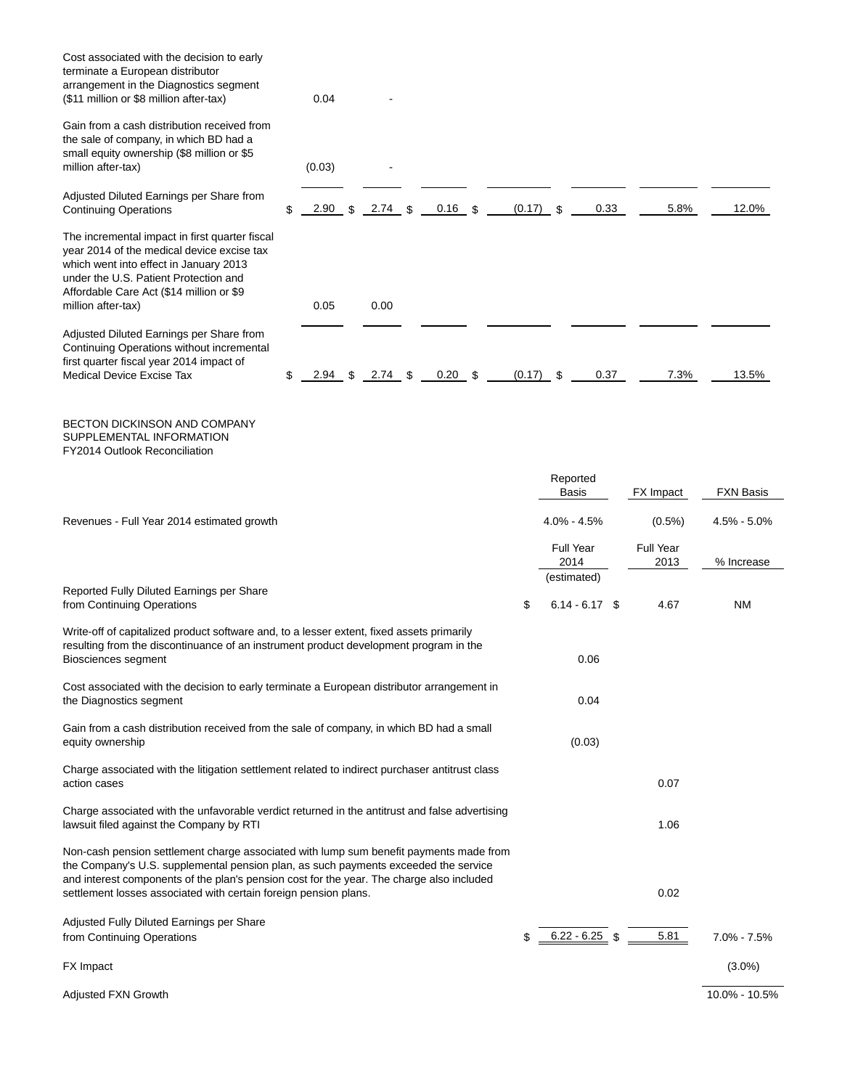| Cost associated with the decision to early<br>terminate a European distributor<br>arrangement in the Diagnostics segment<br>(\$11 million or \$8 million after-tax)                                                                                                                                                                            | 0.04       |      |           |           |             |             |                                 |                          |                              |
|------------------------------------------------------------------------------------------------------------------------------------------------------------------------------------------------------------------------------------------------------------------------------------------------------------------------------------------------|------------|------|-----------|-----------|-------------|-------------|---------------------------------|--------------------------|------------------------------|
| Gain from a cash distribution received from<br>the sale of company, in which BD had a<br>small equity ownership (\$8 million or \$5<br>million after-tax)                                                                                                                                                                                      | (0.03)     |      |           |           |             |             |                                 |                          |                              |
| Adjusted Diluted Earnings per Share from<br><b>Continuing Operations</b>                                                                                                                                                                                                                                                                       | \$<br>2.90 | - \$ | $2.74$ \$ | $0.16$ \$ | $(0.17)$ \$ |             | 0.33                            | 5.8%                     | 12.0%                        |
| The incremental impact in first quarter fiscal<br>year 2014 of the medical device excise tax<br>which went into effect in January 2013<br>under the U.S. Patient Protection and<br>Affordable Care Act (\$14 million or \$9<br>million after-tax)                                                                                              | 0.05       |      | 0.00      |           |             |             |                                 |                          |                              |
| Adjusted Diluted Earnings per Share from<br>Continuing Operations without incremental<br>first quarter fiscal year 2014 impact of<br>Medical Device Excise Tax                                                                                                                                                                                 | \$<br>2.94 | - \$ | $2.74$ \$ | $0.20$ \$ |             | $(0.17)$ \$ | 0.37                            | 7.3%                     | 13.5%                        |
| BECTON DICKINSON AND COMPANY<br>SUPPLEMENTAL INFORMATION<br><b>FY2014 Outlook Reconciliation</b>                                                                                                                                                                                                                                               |            |      |           |           |             |             |                                 |                          |                              |
|                                                                                                                                                                                                                                                                                                                                                |            |      |           |           |             |             | Reported<br>Basis               | FX Impact                | <b>FXN Basis</b>             |
| Revenues - Full Year 2014 estimated growth                                                                                                                                                                                                                                                                                                     |            |      |           |           |             |             | $4.0\% - 4.5\%$                 | $(0.5\%)$                | $4.5\% - 5.0\%$              |
|                                                                                                                                                                                                                                                                                                                                                |            |      |           |           |             |             | <b>Full Year</b><br>2014        | <b>Full Year</b><br>2013 | % Increase                   |
| Reported Fully Diluted Earnings per Share<br>from Continuing Operations                                                                                                                                                                                                                                                                        |            |      |           |           | \$          |             | (estimated)<br>$6.14 - 6.17$ \$ | 4.67                     | ΝM                           |
| Write-off of capitalized product software and, to a lesser extent, fixed assets primarily<br>resulting from the discontinuance of an instrument product development program in the<br>Biosciences segment                                                                                                                                      |            |      |           |           |             |             | 0.06                            |                          |                              |
| Cost associated with the decision to early terminate a European distributor arrangement in<br>the Diagnostics segment                                                                                                                                                                                                                          |            |      |           |           |             |             | 0.04                            |                          |                              |
| Gain from a cash distribution received from the sale of company, in which BD had a small<br>equity ownership                                                                                                                                                                                                                                   |            |      |           |           |             |             | (0.03)                          |                          |                              |
| Charge associated with the litigation settlement related to indirect purchaser antitrust class<br>action cases                                                                                                                                                                                                                                 |            |      |           |           |             |             |                                 | 0.07                     |                              |
| Charge associated with the unfavorable verdict returned in the antitrust and false advertising<br>lawsuit filed against the Company by RTI                                                                                                                                                                                                     |            |      |           |           |             |             |                                 | 1.06                     |                              |
| Non-cash pension settlement charge associated with lump sum benefit payments made from<br>the Company's U.S. supplemental pension plan, as such payments exceeded the service<br>and interest components of the plan's pension cost for the year. The charge also included<br>settlement losses associated with certain foreign pension plans. |            |      |           |           |             |             |                                 | 0.02                     |                              |
| Adjusted Fully Diluted Earnings per Share                                                                                                                                                                                                                                                                                                      |            |      |           |           |             |             |                                 |                          |                              |
| from Continuing Operations<br>FX Impact                                                                                                                                                                                                                                                                                                        |            |      |           |           |             |             | $6.22 - 6.25$ \$                | 5.81                     | $7.0\% - 7.5\%$<br>$(3.0\%)$ |
| Adjusted FXN Growth                                                                                                                                                                                                                                                                                                                            |            |      |           |           |             |             |                                 |                          | 10.0% - 10.5%                |
|                                                                                                                                                                                                                                                                                                                                                |            |      |           |           |             |             |                                 |                          |                              |